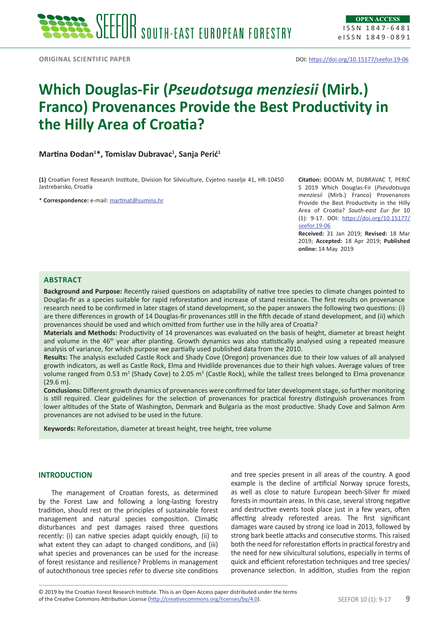# **Which Douglas-Fir (***Pseudotsuga menziesii* **(Mirb.) Franco) Provenances Provide the Best Productivity in the Hilly Area of Croatia?**

## **Martina Đodan<sup>1</sup> \*, Tomislav Dubravac<sup>1</sup> , Sanja Perić<sup>1</sup>**

**(1)** Croatian Forest Research Institute, Division for Silviculture, Cvjetno naselje 41, HR-10450 Jastrebarsko, Croatia

\* **Correspondence:** e-mail: [martinat@sumins.hr](mailto:martinat@sumins.hr)

**Citation:** ĐODAN M, DUBRAVAC T, PERIĆ S 2019 Which Douglas-Fir (*Pseudotsuga menziesii* (Mirb.) Franco) Provenances Provide the Best Productivity in the Hilly Area of Croatia? *South-east Eur for* 10 (1): 9-17. DOI: [https://doi.org/10.15177/](https://doi.org/10.15177/seefor.19-06) [seefor.19-06](https://doi.org/10.15177/seefor.19-06)

**Received:** 31 Jan 2019; **Revised:** 18 Mar 2019; **Accepted:** 18 Apr 2019; **Published online:** 14 May 2019

## **Abstract**

**Background and Purpose:** Recently raised questions on adaptability of native tree species to climate changes pointed to Douglas-fir as a species suitable for rapid reforestation and increase of stand resistance. The first results on provenance research need to be confirmed in later stages of stand development, so the paper answers the following two questions: (i) are there differences in growth of 14 Douglas-fir provenances still in the fifth decade of stand development, and (ii) which provenances should be used and which omitted from further use in the hilly area of Croatia?

**Materials and Methods:** Productivity of 14 provenances was evaluated on the basis of height, diameter at breast height and volume in the 46<sup>th</sup> year after planting. Growth dynamics was also statistically analysed using a repeated measure analysis of variance, for which purpose we partially used published data from the 2010.

**Results:** The analysis excluded Castle Rock and Shady Cove (Oregon) provenances due to their low values of all analysed growth indicators, as well as Castle Rock, Elma and Hvidilde provenances due to their high values. Average values of tree volume ranged from 0.53 m<sup>3</sup> (Shady Cove) to 2.05 m<sup>3</sup> (Castle Rock), while the tallest trees belonged to Elma provenance  $(29.6 \text{ m})$ 

**Conclusions:** Different growth dynamics of provenances were confirmed for later development stage, so further monitoring is still required. Clear guidelines for the selection of provenances for practical forestry distinguish provenances from lower altitudes of the State of Washington, Denmark and Bulgaria as the most productive. Shady Cove and Salmon Arm provenances are not advised to be used in the future.

**Keywords:** Reforestation, diameter at breast height, tree height, tree volume

#### **INTRODUCTION**

The management of Croatian forests, as determined by the Forest Law and following a long-lasting forestry tradition, should rest on the principles of sustainable forest management and natural species composition. Climatic disturbances and pest damages raised three questions recently: (i) can native species adapt quickly enough, (ii) to what extent they can adapt to changed conditions, and (iii) what species and provenances can be used for the increase of forest resistance and resilience? Problems in management of autochthonous tree species refer to diverse site conditions and tree species present in all areas of the country. A good example is the decline of artificial Norway spruce forests, as well as close to nature European beech-Silver fir mixed forests in mountain areas. In this case, several strong negative and destructive events took place just in a few years, often affecting already reforested areas. The first significant damages ware caused by strong ice load in 2013, followed by strong bark beetle attacks and consecutive storms. This raised both the need for reforestation efforts in practical forestry and the need for new silvicultural solutions, especially in terms of quick and efficient reforestation techniques and tree species/ provenance selection. In addition, studies from the region

of the Creative Commons Attribution License (<http://creativecommons.org/licenses/by/4.0>). SEEFOR 10 (1): 9-17 **9** © 2019 by the Croatian Forest Research Institute. This is an Open Access paper distributed under the terms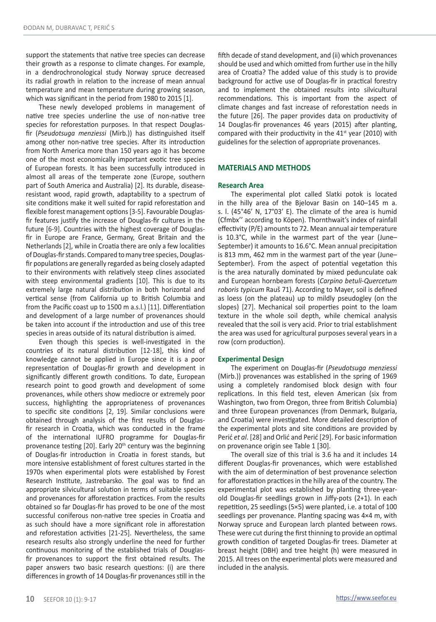support the statements that native tree species can decrease their growth as a response to climate changes. For example, in a dendrochronological study Norway spruce decreased its radial growth in relation to the increase of mean annual temperature and mean temperature during growing season, which was significant in the period from 1980 to 2015 [1].

These newly developed problems in management of native tree species underline the use of non-native tree species for reforestation purposes. In that respect Douglasfir (*Pseudotsuga menziessi* (Mirb.)) has distinguished itself among other non-native tree species. After its introduction from North America more than 150 years ago it has become one of the most economically important exotic tree species of European forests. It has been successfully introduced in almost all areas of the temperate zone (Europe, southern part of South America and Australia) [2]. Its durable, diseaseresistant wood, rapid growth, adaptability to a spectrum of site conditions make it well suited for rapid reforestation and flexible forest management options [3-5]. Favourable Douglasfir features justify the increase of Douglas-fir cultures in the future [6-9]. Countries with the highest coverage of Douglasfir in Europe are France, Germany, Great Britain and the Netherlands [2], while in Croatia there are only a few localities of Douglas-fir stands. Compared to many tree species, Douglasfir populations are generally regarded as being closely adapted to their environments with relatively steep clines associated with steep environmental gradients [10]. This is due to its extremely large natural distribution in both horizontal and vertical sense (from California up to British Columbia and from the Pacific coast up to 1500 m a.s.l.) [11]. Differentiation and development of a large number of provenances should be taken into account if the introduction and use of this tree species in areas outside of its natural distribution is aimed.

Even though this species is well-investigated in the countries of its natural distribution [12-18], this kind of knowledge cannot be applied in Europe since it is a poor representation of Douglas-fir growth and development in significantly different growth conditions. To date, European research point to good growth and development of some provenances, while others show mediocre or extremely poor success, highlighting the appropriateness of provenances to specific site conditions [2, 19]*.* Similar conclusions were obtained through analysis of the first results of Douglasfir research in Croatia, which was conducted in the frame of the international IUFRO programme for Douglas-fir provenance testing  $[20]$ . Early  $20<sup>th</sup>$  century was the beginning of Douglas-fir introduction in Croatia in forest stands, but more intensive establishment of forest cultures started in the 1970s when experimental plots were established by Forest Research Institute, Jastrebarsko. The goal was to find an appropriate silvicultural solution in terms of suitable species and provenances for afforestation practices. From the results obtained so far Douglas-fir has proved to be one of the most successful coniferous non-native tree species in Croatia and as such should have a more significant role in afforestation and reforestation activities [21-25]. Nevertheless, the same research results also strongly underline the need for further continuous monitoring of the established trials of Douglasfir provenances to support the first obtained results. The paper answers two basic research questions: (i) are there differences in growth of 14 Douglas-fir provenances still in the

fifth decade of stand development, and (ii) which provenances should be used and which omitted from further use in the hilly area of Croatia? The added value of this study is to provide background for active use of Douglas-fir in practical forestry and to implement the obtained results into silvicultural recommendations. This is important from the aspect of climate changes and fast increase of reforestation needs in the future [26]. The paper provides data on productivity of 14 Douglas-fir provenances 46 years (2015) after planting, compared with their productivity in the 41<sup>st</sup> year (2010) with guidelines for the selection of appropriate provenances.

#### **MATERIALS AND METHODS**

#### **Research Area**

The experimental plot called Slatki potok is located in the hilly area of the Bjelovar Basin on 140–145 m a. s. l. (45°46' N, 17°03' E). The climate of the area is humid (Cfmbx'' according to Köpen). Thornthwait's index of rainfall effectivity (P/E) amounts to 72. Mean annual air temperature is 10.3°C, while in the warmest part of the year (June– September) it amounts to 16.6°C. Mean annual precipitation is 813 mm, 462 mm in the warmest part of the year (June– September). From the aspect of potential vegetation this is the area naturally dominated by mixed pedunculate oak and European hornbeam forests (*Carpino betuli-Quercetum roboris typicum* Rauš 71). According to Mayer, soil is defined as loess (on the plateau) up to mildly pseudogley (on the slopes) [27]. Mechanical soil properties point to the loam texture in the whole soil depth, while chemical analysis revealed that the soil is very acid. Prior to trial establishment the area was used for agricultural purposes several years in a row (corn production).

#### **Experimental Design**

The experiment on Douglas-fir (*Pseudotsuga menziessi*  (Mirb.)) provenances was established in the spring of 1969 using a completely randomised block design with four replications. In this field test, eleven American (six from Washington, two from Oregon, three from British Columbia) and three European provenances (from Denmark, Bulgaria, and Croatia) were investigated. More detailed description of the experimental plots and site conditions are provided by Perić *et al*. [28] and Orlić and Perić [29]. For basic information on provenance origin see Table 1 [30].

The overall size of this trial is 3.6 ha and it includes 14 different Douglas-fir provenances, which were established with the aim of determination of best provenance selection for afforestation practices in the hilly area of the country. The experimental plot was established by planting three-yearold Douglas-fir seedlings grown in Jiffy-pots (2+1). In each repetition, 25 seedlings (5×5) were planted, i.e. a total of 100 seedlings per provenance. Planting spacing was 4×4 m, with Norway spruce and European larch planted between rows. These were cut during the first thinning to provide an optimal growth condition of targeted Douglas-fir trees. Diameter at breast height (DBH) and tree height (h) were measured in 2015. All trees on the experimental plots were measured and included in the analysis.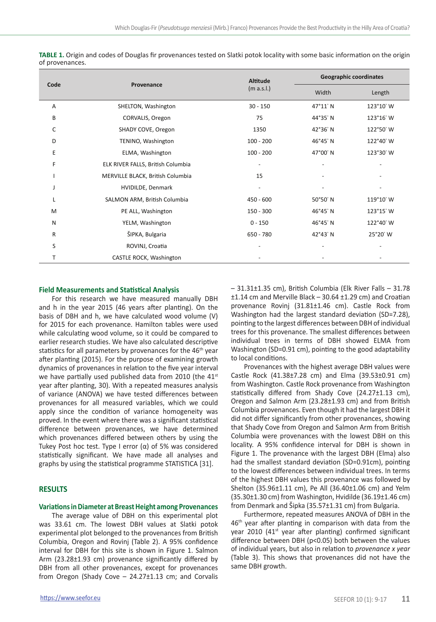| Code |                                   | <b>Altitude</b>          | <b>Geographic coordinates</b> |           |
|------|-----------------------------------|--------------------------|-------------------------------|-----------|
|      | Provenance                        | (m a.s.l.)               | Width                         | Length    |
| A    | SHELTON, Washington               | $30 - 150$               | 47°11' N                      | 123°10' W |
| B    | CORVALIS, Oregon                  | 75                       | 44°35' N                      | 123°16' W |
| C    | SHADY COVE, Oregon                | 1350                     | 42°36' N                      | 122°50' W |
| D    | TENINO, Washington                | $100 - 200$              | 46°45' N                      | 122°40' W |
| E    | ELMA, Washington                  | $100 - 200$              | 47°00' N                      | 123°30' W |
| F    | ELK RIVER FALLS, British Columbia | $\overline{\phantom{a}}$ |                               |           |
|      | MERVILLE BLACK, British Columbia  | 15                       |                               |           |
| J    | HVIDILDE, Denmark                 | $\overline{\phantom{a}}$ |                               |           |
| L    | SALMON ARM, British Columbia      | 450 - 600                | 50°50' N                      | 119°10' W |
| M    | PE ALL, Washington                | $150 - 300$              | 46°45' N                      | 123°15' W |
| N    | YELM, Washington                  | $0 - 150$                | 46°45' N                      | 122°40' W |
| R    | ŠIPKA, Bulgaria                   | 650 - 780                | 42°43' N                      | 25°20' W  |
| S    | ROVINJ, Croatia                   | $\overline{a}$           |                               |           |
| т    | CASTLE ROCK, Washington           |                          |                               |           |

**TABLE 1.** Origin and codes of Douglas fir provenances tested on Slatki potok locality with some basic information on the origin of provenances.

#### **Field Measurements and Statistical Analysis**

For this research we have measured manually DBH and h in the year 2015 (46 years after planting). On the basis of DBH and h, we have calculated wood volume (V) for 2015 for each provenance. Hamilton tables were used while calculating wood volume, so it could be compared to earlier research studies. We have also calculated descriptive statistics for all parameters by provenances for the 46<sup>th</sup> year after planting (2015). For the purpose of examining growth dynamics of provenances in relation to the five year interval we have partially used published data from 2010 (the  $41<sup>st</sup>$ year after planting, 30). With a repeated measures analysis of variance (ANOVA) we have tested differences between provenances for all measured variables, which we could apply since the condition of variance homogeneity was proved. In the event where there was a significant statistical difference between provenances, we have determined which provenances differed between others by using the Tukey Post hoc test. Type I error (α) of 5% was considered statistically significant. We have made all analyses and graphs by using the statistical programme STATISTICA [31].

## **RESULTS**

#### **Variations in Diameter at Breast Height among Provenances**

The average value of DBH on this experimental plot was 33.61 cm. The lowest DBH values at Slatki potok experimental plot belonged to the provenances from British Columbia, Oregon and Rovinj (Table 2). A 95% confidence interval for DBH for this site is shown in Figure 1. Salmon Arm (23.28±1.93 cm) provenance significantly differed by DBH from all other provenances, except for provenances from Oregon (Shady Cove – 24.27±1.13 cm; and Corvalis – 31.31±1.35 cm), British Columbia (Elk River Falls – 31.78 ±1.14 cm and Merville Black – 30.64 ±1.29 cm) and Croatian provenance Rovinj (31.81±1.46 cm). Castle Rock from Washington had the largest standard deviation (SD=7.28), pointing to the largest differences between DBH of individual trees for this provenance. The smallest differences between individual trees in terms of DBH showed ELMA from Washington (SD=0.91 cm), pointing to the good adaptability to local conditions.

Provenances with the highest average DBH values were Castle Rock (41.38±7.28 cm) and Elma (39.53±0.91 cm) from Washington. Castle Rock provenance from Washington statistically differed from Shady Cove (24.27±1.13 cm), Oregon and Salmon Arm (23.28±1.93 cm) and from British Columbia provenances. Even though it had the largest DBH it did not differ significantly from other provenances, showing that Shady Cove from Oregon and Salmon Arm from British Columbia were provenances with the lowest DBH on this locality. A 95% confidence interval for DBH is shown in Figure 1. The provenance with the largest DBH (Elma) also had the smallest standard deviation (SD=0.91cm), pointing to the lowest differences between individual trees. In terms of the highest DBH values this provenance was followed by Shelton (35.96±1.11 cm), Pe All (36.40±1.06 cm) and Yelm (35.30±1.30 cm) from Washington, Hvidilde (36.19±1.46 cm) from Denmark and Šipka (35.57±1.31 cm) from Bulgaria.

Furthermore, repeated measures ANOVA of DBH in the 46<sup>th</sup> year after planting in comparison with data from the year 2010 (41<sup>st</sup> year after planting) confirmed significant difference between DBH (p<0.05) both between the values of individual years, but also in relation to *provenance x year* (Table 3). This shows that provenances did not have the same DBH growth.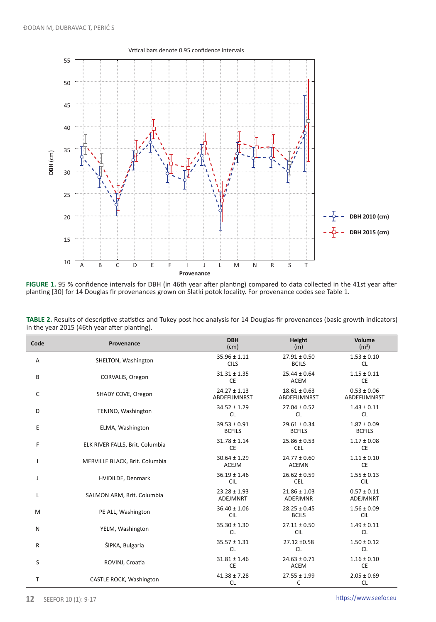

**FIGURE 1.** 95 % confidence intervals for DBH (in 46th year after planting) compared to data collected in the 41st year after planting [30] for 14 Douglas fir provenances grown on Slatki potok locality. For provenance codes see Table 1.

| TABLE 2. Results of descriptive statistics and Tukey post hoc analysis for 14 Douglas-fir provenances (basic growth indicators) |  |
|---------------------------------------------------------------------------------------------------------------------------------|--|
| in the year 2015 (46th year after planting).                                                                                    |  |

| Code         | Provenance                      | <b>DBH</b><br>(cm)                      | Height<br>(m)                       | Volume<br>(m <sup>3</sup> )            |
|--------------|---------------------------------|-----------------------------------------|-------------------------------------|----------------------------------------|
| A            | SHELTON, Washington             | $35.96 \pm 1.11$<br><b>CILS</b>         | $27.91 \pm 0.50$<br><b>BCILS</b>    | $1.53 \pm 0.10$<br><b>CL</b>           |
| B            | CORVALIS, Oregon                | $31.31 \pm 1.35$<br><b>CE</b>           | $25.44 \pm 0.64$<br><b>ACEM</b>     | $1.15 \pm 0.11$<br><b>CE</b>           |
| C            | SHADY COVE, Oregon              | $24.27 \pm 1.13$<br><b>ABDEFIJMNRST</b> | $18.61 \pm 0.63$<br>ABDEFIJMNRST    | $0.53 \pm 0.06$<br><b>ABDEFIJMNRST</b> |
| D            | TENINO, Washington              | $34.52 \pm 1.29$<br><b>CL</b>           | $27.04 \pm 0.52$<br><b>CL</b>       | $1.43 \pm 0.11$<br><b>CL</b>           |
| E            | ELMA, Washington                | $39.53 \pm 0.91$<br><b>BCFILS</b>       | $29.61 \pm 0.34$<br><b>BCFILS</b>   | $1.87 \pm 0.09$<br><b>BCFILS</b>       |
| F            | ELK RIVER FALLS, Brit. Columbia | $31.78 \pm 1.14$<br><b>CE</b>           | $25.86 \pm 0.53$<br><b>CEL</b>      | $1.17 \pm 0.08$<br><b>CE</b>           |
|              | MERVILLE BLACK, Brit. Columbia  | $30.64 \pm 1.29$<br><b>ACEJM</b>        | $24.77 \pm 0.60$<br><b>ACEMN</b>    | $1.11 \pm 0.10$<br><b>CE</b>           |
| J            | HVIDILDE, Denmark               | $36.19 \pm 1.46$<br><b>CIL</b>          | $26.62 \pm 0.59$<br><b>CEL</b>      | $1.55 \pm 0.13$<br><b>CIL</b>          |
| L            | SALMON ARM, Brit. Columbia      | $23.28 \pm 1.93$<br>ADEJMNRT            | $21.86 \pm 1.03$<br><b>ADEFJMNR</b> | $0.57 \pm 0.11$<br>ADEJMNRT            |
| M            | PE ALL, Washington              | $36.40 \pm 1.06$<br><b>CIL</b>          | $28.25 \pm 0.45$<br><b>BCILS</b>    | $1.56 \pm 0.09$<br><b>CIL</b>          |
| N            | YELM, Washington                | $35.30 \pm 1.30$<br><b>CL</b>           | $27.11 \pm 0.50$<br><b>CIL</b>      | $1.49 \pm 0.11$<br><b>CL</b>           |
| $\mathsf{R}$ | ŠIPKA, Bulgaria                 | $35.57 \pm 1.31$<br><b>CL</b>           | 27.12 ±0.58<br><b>CL</b>            | $1.50 \pm 0.12$<br><b>CL</b>           |
| S            | ROVINJ, Croatia                 | $31.81 \pm 1.46$<br><b>CE</b>           | $24.63 \pm 0.71$<br>ACEM            | $1.16 \pm 0.10$<br><b>CE</b>           |
| T            | CASTLE ROCK, Washington         | $41.38 \pm 7.28$<br><b>CL</b>           | $27.55 \pm 1.99$<br>C               | $2.05 \pm 0.69$<br><b>CL</b>           |

Ī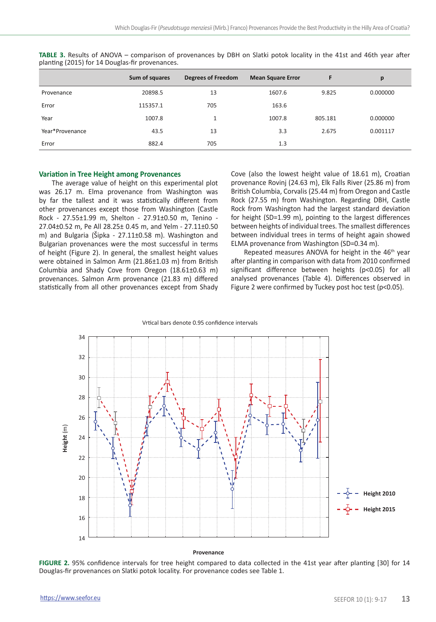|                 | Sum of squares | <b>Degrees of Freedom</b> | <b>Mean Square Error</b> | F       | p        |
|-----------------|----------------|---------------------------|--------------------------|---------|----------|
| Provenance      | 20898.5        | 13                        | 1607.6                   | 9.825   | 0.000000 |
| Error           | 115357.1       | 705                       | 163.6                    |         |          |
| Year            | 1007.8         | 1                         | 1007.8                   | 805.181 | 0.000000 |
| Year*Provenance | 43.5           | 13                        | 3.3                      | 2.675   | 0.001117 |
| Error           | 882.4          | 705                       | 1.3                      |         |          |

**TABLE 3.** Results of ANOVA – comparison of provenances by DBH on Slatki potok locality in the 41st and 46th year after planting (2015) for 14 Douglas-fir provenances.

## **Variation in Tree Height among Provenances**

The average value of height on this experimental plot was 26.17 m. Elma provenance from Washington was by far the tallest and it was statistically different from other provenances except those from Washington (Castle Rock - 27.55±1.99 m, Shelton - 27.91±0.50 m, Tenino - 27.04±0.52 m, Pe All 28.25± 0.45 m, and Yelm - 27.11±0.50 m) and Bulgaria (Šipka - 27.11±0.58 m). Washington and Bulgarian provenances were the most successful in terms of height (Figure 2). In general, the smallest height values were obtained in Salmon Arm (21.86±1.03 m) from British Columbia and Shady Cove from Oregon (18.61±0.63 m) provenances. Salmon Arm provenance (21.83 m) differed statistically from all other provenances except from Shady

Cove (also the lowest height value of 18.61 m), Croatian provenance Rovinj (24.63 m), Elk Falls River (25.86 m) from British Columbia, Corvalis (25.44 m) from Oregon and Castle Rock (27.55 m) from Washington. Regarding DBH, Castle Rock from Washington had the largest standard deviation for height (SD=1.99 m), pointing to the largest differences between heights of individual trees. The smallest differences between individual trees in terms of height again showed ELMA provenance from Washington (SD=0.34 m).

Repeated measures ANOVA for height in the 46<sup>th</sup> year after planting in comparison with data from 2010 confirmed significant difference between heights (p<0.05) for all analysed provenances (Table 4). Differences observed in Figure 2 were confirmed by Tuckey post hoc test (p<0.05).



**FIGURE 2.** 95% confidence intervals for tree height compared to data collected in the 41st year after planting [30] for 14 Douglas-fir provenances on Slatki potok locality. For provenance codes see Table 1.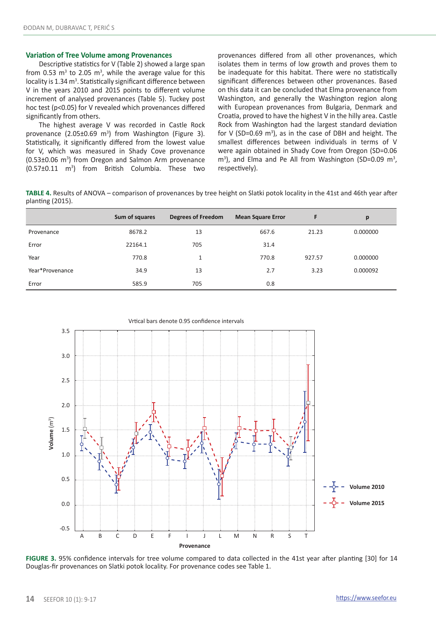#### **Variation of Tree Volume among Provenances**

Descriptive statistics for V (Table 2) showed a large span from 0.53  $\text{m}^3$  to 2.05  $\text{m}^3$ , while the average value for this locality is 1.34 m<sup>3</sup>. Statistically significant difference between V in the years 2010 and 2015 points to different volume increment of analysed provenances (Table 5). Tuckey post hoc test (p<0.05) for V revealed which provenances differed significantly from others.

The highest average V was recorded in Castle Rock provenance  $(2.05\pm0.69 \text{ m}^3)$  from Washington (Figure 3). Statistically, it significantly differed from the lowest value for V, which was measured in Shady Cove provenance (0.53±0.06 m3 ) from Oregon and Salmon Arm provenance  $(0.57\pm0.11 \text{ m}^3)$  from British Columbia. These two provenances differed from all other provenances, which isolates them in terms of low growth and proves them to be inadequate for this habitat. There were no statistically significant differences between other provenances. Based on this data it can be concluded that Elma provenance from Washington, and generally the Washington region along with European provenances from Bulgaria, Denmark and Croatia, proved to have the highest V in the hilly area. Castle Rock from Washington had the largest standard deviation for V (SD=0.69  $m^3$ ), as in the case of DBH and height. The smallest differences between individuals in terms of V were again obtained in Shady Cove from Oregon (SD=0.06 m<sup>3</sup>), and Elma and Pe All from Washington (SD=0.09 m<sup>3</sup>, respectively).

**TABLE 4.** Results of ANOVA – comparison of provenances by tree height on Slatki potok locality in the 41st and 46th year after planting (2015).

|                 | Sum of squares | <b>Degrees of Freedom</b> | <b>Mean Square Error</b> | F      | p        |
|-----------------|----------------|---------------------------|--------------------------|--------|----------|
| Provenance      | 8678.2         | 13                        | 667.6                    | 21.23  | 0.000000 |
| Error           | 22164.1        | 705                       | 31.4                     |        |          |
| Year            | 770.8          | 1                         | 770.8                    | 927.57 | 0.000000 |
| Year*Provenance | 34.9           | 13                        | 2.7                      | 3.23   | 0.000092 |
| Error           | 585.9          | 705                       | 0.8                      |        |          |

Vrtical bars denote 0.95 confidence intervals



**FIGURE 3.** 95% confidence intervals for tree volume compared to data collected in the 41st year after planting [30] for 14

Douglas-fir provenances on Slatki potok locality. For provenance codes see Table 1.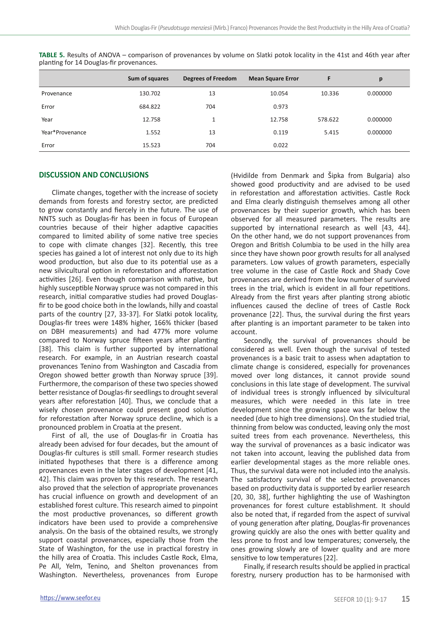|                 | Sum of squares | <b>Degrees of Freedom</b> | <b>Mean Square Error</b> | F       | p        |
|-----------------|----------------|---------------------------|--------------------------|---------|----------|
| Provenance      | 130.702        | 13                        | 10.054                   | 10.336  | 0.000000 |
| Error           | 684.822        | 704                       | 0.973                    |         |          |
| Year            | 12.758         | $\mathbf{1}$              | 12.758                   | 578.622 | 0.000000 |
| Year*Provenance | 1.552          | 13                        | 0.119                    | 5.415   | 0.000000 |
| Error           | 15.523         | 704                       | 0.022                    |         |          |

**TABLE 5.** Results of ANOVA – comparison of provenances by volume on Slatki potok locality in the 41st and 46th year after planting for 14 Douglas-fir provenances.

## **DISCUSSION AND CONCLUSIONS**

Climate changes, together with the increase of society demands from forests and forestry sector, are predicted to grow constantly and fiercely in the future. The use of NNTS such as Douglas-fir has been in focus of European countries because of their higher adaptive capacities compared to limited ability of some native tree species to cope with climate changes [32]. Recently, this tree species has gained a lot of interest not only due to its high wood production, but also due to its potential use as a new silvicultural option in reforestation and afforestation activities [26]. Even though comparison with native, but highly susceptible Norway spruce was not compared in this research, initial comparative studies had proved Douglasfir to be good choice both in the lowlands, hilly and coastal parts of the country [27, 33-37]. For Slatki potok locality, Douglas-fir trees were 148% higher, 166% thicker (based on DBH measurements) and had 477% more volume compared to Norway spruce fifteen years after planting [38]. This claim is further supported by international research. For example, in an Austrian research coastal provenances Tenino from Washington and Cascadia from Oregon showed better growth than Norway spruce [39]. Furthermore, the comparison of these two species showed better resistance of Douglas-fir seedlings to drought several years after reforestation [40]. Thus, we conclude that a wisely chosen provenance could present good solution for reforestation after Norway spruce decline, which is a pronounced problem in Croatia at the present.

First of all, the use of Douglas-fir in Croatia has already been advised for four decades, but the amount of Douglas-fir cultures is still small. Former research studies initiated hypotheses that there is a difference among provenances even in the later stages of development [41, 42]. This claim was proven by this research. The research also proved that the selection of appropriate provenances has crucial influence on growth and development of an established forest culture. This research aimed to pinpoint the most productive provenances, so different growth indicators have been used to provide a comprehensive analysis. On the basis of the obtained results, we strongly support coastal provenances, especially those from the State of Washington, for the use in practical forestry in the hilly area of Croatia. This includes Castle Rock, Elma, Pe All, Yelm, Tenino, and Shelton provenances from Washington. Nevertheless, provenances from Europe (Hvidilde from Denmark and Šipka from Bulgaria) also showed good productivity and are advised to be used in reforestation and afforestation activities. Castle Rock and Elma clearly distinguish themselves among all other provenances by their superior growth, which has been observed for all measured parameters. The results are supported by international research as well [43, 44]. On the other hand, we do not support provenances from Oregon and British Columbia to be used in the hilly area since they have shown poor growth results for all analysed parameters. Low values of growth parameters, especially tree volume in the case of Castle Rock and Shady Cove provenances are derived from the low number of survived trees in the trial, which is evident in all four repetitions. Already from the first years after planting strong abiotic influences caused the decline of trees of Castle Rock provenance [22]. Thus, the survival during the first years after planting is an important parameter to be taken into account.

Secondly, the survival of provenances should be considered as well. Even though the survival of tested provenances is a basic trait to assess when adaptation to climate change is considered, especially for provenances moved over long distances, it cannot provide sound conclusions in this late stage of development. The survival of individual trees is strongly influenced by silvicultural measures, which were needed in this late in tree development since the growing space was far below the needed (due to high tree dimensions). On the studied trial, thinning from below was conducted, leaving only the most suited trees from each provenance. Nevertheless, this way the survival of provenances as a basic indicator was not taken into account, leaving the published data from earlier developmental stages as the more reliable ones. Thus, the survival data were not included into the analysis. The satisfactory survival of the selected provenances based on productivity data is supported by earlier research [20, 30, 38], further highlighting the use of Washington provenances for forest culture establishment. It should also be noted that, if regarded from the aspect of survival of young generation after plating, Douglas-fir provenances growing quickly are also the ones with better quality and less prone to frost and low temperatures; conversely, the ones growing slowly are of lower quality and are more sensitive to low temperatures [22].

Finally, if research results should be applied in practical forestry, nursery production has to be harmonised with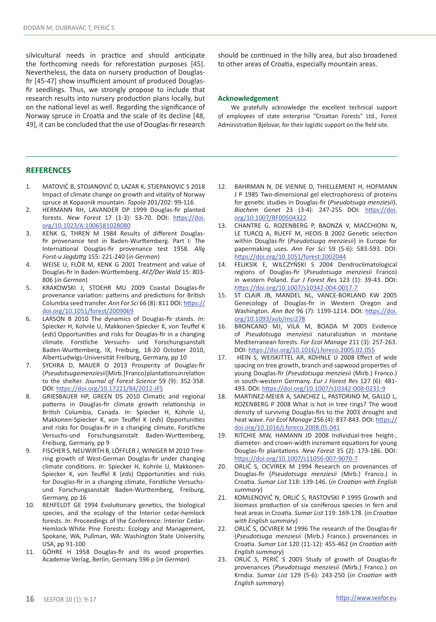silvicultural needs in practice and should anticipate the forthcoming needs for reforestation purposes [45]. Nevertheless, the data on nursery production of Douglasfir [45-47] show insufficient amount of produced Douglasfir seedlings. Thus, we strongly propose to include that research results into nursery production plans locally, but on the national level as well. Regarding the significance of Norway spruce in Croatia and the scale of its decline [48, 49], it can be concluded that the use of Douglas-fir research should be continued in the hilly area, but also broadened to other areas of Croatia, especially mountain areas.

#### **Acknowledgement**

We gratefully acknowledge the excellent technical support of employees of state enterprise "Croatian Forests" Ltd., Forest Administration Bjelovar, for their logistic support on the field site.

## **REFERENCES**

- 1. MATOVIĆ B, STOJANOVIĆ D, LAZAR K, STJEPANOVIC S 2018 Impact of climate change on growth and vitality of Norway spruce at Kopaonik mountain. *Topola* 201/202: 99-116
- 2. HERMANN RH, LAVANDER DP 1999 Douglas-fir planted forests. *New Forest* 17 (1-3): 53-70. DOI: [https://doi.](https://doi.org/10.1023/A:1006581028080) [org/10.1023/A:1006581028080](https://doi.org/10.1023/A:1006581028080)
- 3. KENK G, THREN M 1984 Results of different Douglasfir provenance test in Baden-Wurttemberg. Part I: The International Douglas-fir provenance test 1958. *Allg Forst-u Jagdzttg* 155: 221-240 (*in German*)
- 4. WEISE U, FLÖß M, KENK G 2001 Treatment and value of Douglas-fir in Baden-Württemberg. *AFZ/Der Wald* 15: 803- 806 (*in German*)
- 5. KRAKOWSKI J, STOEHR MU 2009 Coastal Douglas-fir provenance variation: patterns and predictions for British Columbia seed transfer. *Ann For Sci* 66 (8): 811 DOI: [https://](https://doi.org/10.1051/forest/2009069) [doi.org/10.1051/forest/2009069](https://doi.org/10.1051/forest/2009069)
- 6. LARSON B 2010 The dynamics of Douglas-fir stands. *In*: Spiecker H, Kohnle U, Makkonen-Spiecker K, von Teuffel K (*eds*) Opportunities and risks for Douglas-fir in a changing climate. Forstliche Versuchs- und Forschungsanstalt Baden-Wurttemberg, IX, Freiburg, 18-20 October 2010, AlbertLudwigs-Universität Freiburg, Germany, pp 10
- 7. SYCHRA D, MAUER O 2013 Prosperity of Douglas-fir (*Pseudotsuga menziesii* [Mirb.] Franco) plantations in relation to the shelter. *Journal of Forest Science* 59 (9): 352-358. DOI: <https://doi.org/10.17221/84/2012-JFS>
- 8. GRIESBAUER HP, GREEN DS 2010 Climatic and regional patterns in Douglas-fir climate growth relationship in British Columbia, Canada. *In*: Spiecker H, Kohnle U, Makkonen-Spiecker K, von Teuffel K (*eds*) Opportunities and risks for Douglas-fir in a changing climate, Forstliche Versuchs-und Forschungsanstalt Baden-Wurttemberg, Freiburg, Germany, pp 9
- 9. FISCHER S, NEUWIRTH B, LÖFFLER J, WINIGER M 2010 Treering growth of West-German Douglas-fir under changing climate conditions. *In*: Spiecker H, Kohnle U, Makkonen-Spiecker K, von Teuffel K (*eds*) Opportunities and risks for Douglas-fir in a changing climate, Forstliche Versuchsund Forschungsanstalt Baden-Wurttemberg, Freiburg, Germany, pp 16
- 10. REHFELDT GE 1994 Evolutionary genetics, the biological species, and the ecology of the Interior cedar-hemlock forests. *In*: Proceedings of the Conference: Interior Cedar-Hemlock-White Pine Forests: Ecology and Management, Spokane, WA, Pullman, WA: Washington State University, USA, pp 91-100
- 11. GÖHRE H 1958 Douglas-fir and its wood properties. Academie Verlag, Berlin, Germany 596 p (*in German*)
- 12. BAHRMAN N, DE VIENNE D, THIELLEMENT H, HOFMANN J P 1985 Two-dimensional gel electrophoresis of proteins for genetic studies in Douglas-fir (*Pseudotsuga menziesii*). *Biochem Genet* 23 (3-4): 247-255 DOI: [https://doi.](https://doi.org/10.1007/BF00504322) [org/10.1007/BF00504322](https://doi.org/10.1007/BF00504322)
- 13. CHANTRE G, ROZENBERG P, BAONZA V, MACCHIONI N, LE TURCQ A, RUEFF M, HEOIS B 2002 Genetic selection within Douglas-fir (*Pseudotsuga menziesii*) in Europe for papermaking uses. *Ann For Sci* 59 (5-6): 583-593. DOI: <https://doi.org/10.1051/forest:2002044>
- 14. FELIKSIK E, WILCZYŃSKI S 2004 Dendroclimatological regions of Douglas-fir (*Pseudotsuga menziesii* Franco) in western Poland. *Eur J Forest Res* 123 (1): 39-43. DOI: <https://doi.org/10.1007/s10342-004-0017-7>
- 15. ST CLAIR JB, MANDEL NL, VANCE-BORLAND KW 2005 Genecology of Douglas-fir in Western Oregon and Washington. *Ann Bot* 96 (7): 1199-1214. DOI: [https://doi.](https://doi.org/10.1093/aob/mci278) [org/10.1093/aob/mci278](https://doi.org/10.1093/aob/mci278)
- 16. BRONCANO MJ, VILA M, BOADA M 2005 Evidence of *Pseudotsuga menziesii* naturalization in montane Mediterranean forests. *For Ecol Manage* 211 (3): 257-263. DOI:<https://doi.org/10.1016/j.foreco.2005.02.055>
- 17. HEIN S, WEISKITTEL AR, KOHNLE U 2008 Effect of wide spacing on tree growth, branch and sapwood properties of young Douglas-fir (*Pseudotsuga menziesii* (Mirb.) Franco.) in south-western Germany. *Eur J Forest Res* 127 (6): 481- 493. DOI:<https://doi.org/10.1007/s10342-008-0231-9>
- 18. MARTINEZ-MEIER A, SANCHEZ L, PASTORINO M, GALLO L, ROZENBERG P 2008 What is hot in tree rings? The wood density of surviving Douglas-firs to the 2003 drought and heat wave. *For Ecol Manage* 256 (4): 837-843. DOI: [https://](https://doi.org/10.1016/j.foreco.2008.05.041) [doi.org/10.1016/j.foreco.2008.05.041](https://doi.org/10.1016/j.foreco.2008.05.041)
- 19. RITCHIE MW, HAMANN JD 2008 Individual-tree height-, diameter- and crown-width increment equations for young Douglas-fir plantations. *New Forest* 35 (2): 173-186. DOI: <https://doi.org/10.1007/s11056-007-9070-7>
- 20. ORLIĆ S, OCVIREK M 1994 Research on provenances of Douglas-fir (*Pseudotsuga menziesii* (Mirb.) Franco.) in Croatia. *Sumar List* 118: 139-146. (*in Croatian with English summary*)
- 21. KOMLENOVIĆ N, ORLIĆ S, RASTOVSKI P 1995 Growth and biomass production of six coniferous species in fern and heat areas in Croatia. *Sumar List* 119: 169-178. (*in Croatian with English summary*)
- 22. ORLIĆ S, OCVIREK M 1996 The research of the Douglas-fir (*Pseudotsuga menziesii* (Mirb.) Franco.) provenances in Croatia. *Sumar List* 120 (11-12): 455-462 (*in Croatian with English summary*)
- 23. ORLIĆ S, PERIĆ S 2005 Study of growth of Douglas-fir provenances (*Pseudotsuga menziesii* (Mirb.) Franco.) on Krndia. *Sumar List* 129 (5-6)*:* 243-250 (*in Croatian with English summary*)